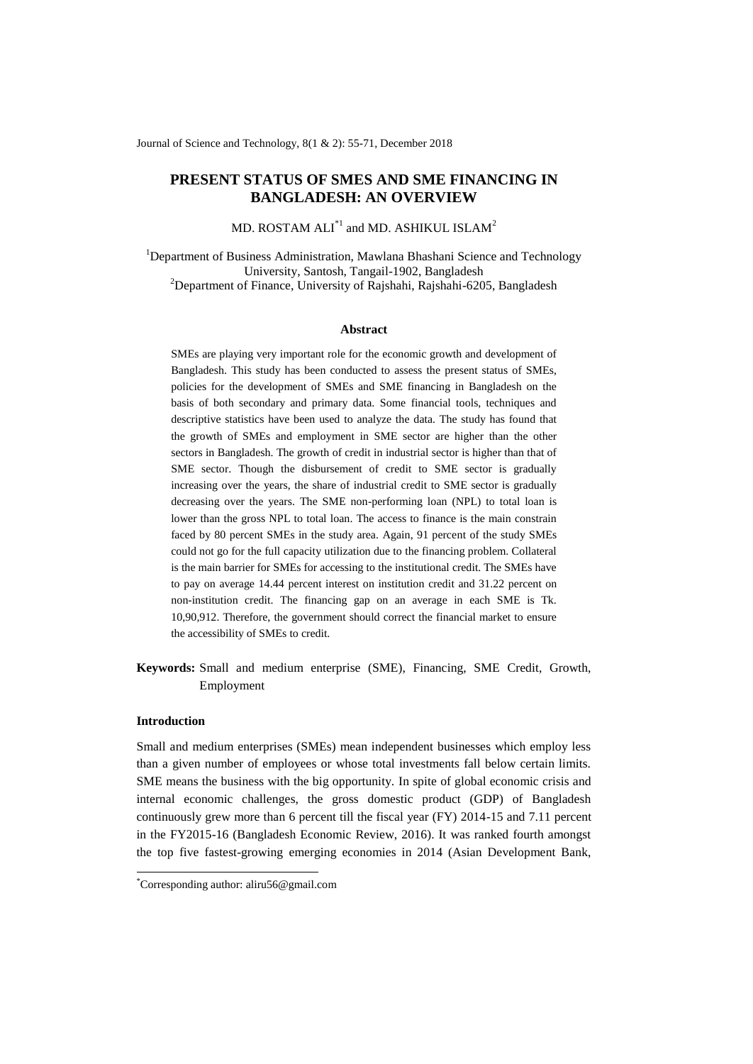Journal of Science and Technology, 8(1 & 2): 55-71, December 2018

# **PRESENT STATUS OF SMES AND SME FINANCING IN BANGLADESH: AN OVERVIEW**

MD. ROSTAM  $ALI^{\ast}{}^{1}$  and MD. ASHIKUL ISLAM $^{2}$ 

<sup>1</sup>Department of Business Administration, Mawlana Bhashani Science and Technology University, Santosh, Tangail-1902, Bangladesh <sup>2</sup>Department of Finance, University of Rajshahi, Rajshahi-6205, Bangladesh

#### **Abstract**

SMEs are playing very important role for the economic growth and development of Bangladesh. This study has been conducted to assess the present status of SMEs, policies for the development of SMEs and SME financing in Bangladesh on the basis of both secondary and primary data. Some financial tools, techniques and descriptive statistics have been used to analyze the data. The study has found that the growth of SMEs and employment in SME sector are higher than the other sectors in Bangladesh. The growth of credit in industrial sector is higher than that of SME sector. Though the disbursement of credit to SME sector is gradually increasing over the years, the share of industrial credit to SME sector is gradually decreasing over the years. The SME non-performing loan (NPL) to total loan is lower than the gross NPL to total loan. The access to finance is the main constrain faced by 80 percent SMEs in the study area. Again, 91 percent of the study SMEs could not go for the full capacity utilization due to the financing problem. Collateral is the main barrier for SMEs for accessing to the institutional credit. The SMEs have to pay on average 14.44 percent interest on institution credit and 31.22 percent on non-institution credit. The financing gap on an average in each SME is Tk. 10,90,912. Therefore, the government should correct the financial market to ensure the accessibility of SMEs to credit.

**Keywords:** Small and medium enterprise (SME), Financing, SME Credit, Growth, Employment

## **Introduction**

-

Small and medium enterprises (SMEs) mean independent businesses which employ less than a given number of employees or whose total investments fall below certain limits. SME means the business with the big opportunity. In spite of global economic crisis and internal economic challenges, the gross domestic product (GDP) of Bangladesh continuously grew more than 6 percent till the fiscal year (FY) 2014-15 and 7.11 percent in the FY2015-16 (Bangladesh Economic Review, 2016). It was ranked fourth amongst the top five fastest-growing emerging economies in 2014 (Asian Development Bank,

<sup>\*</sup>Corresponding author[: aliru56@gmail.com](mailto:aliru56@gmail.com)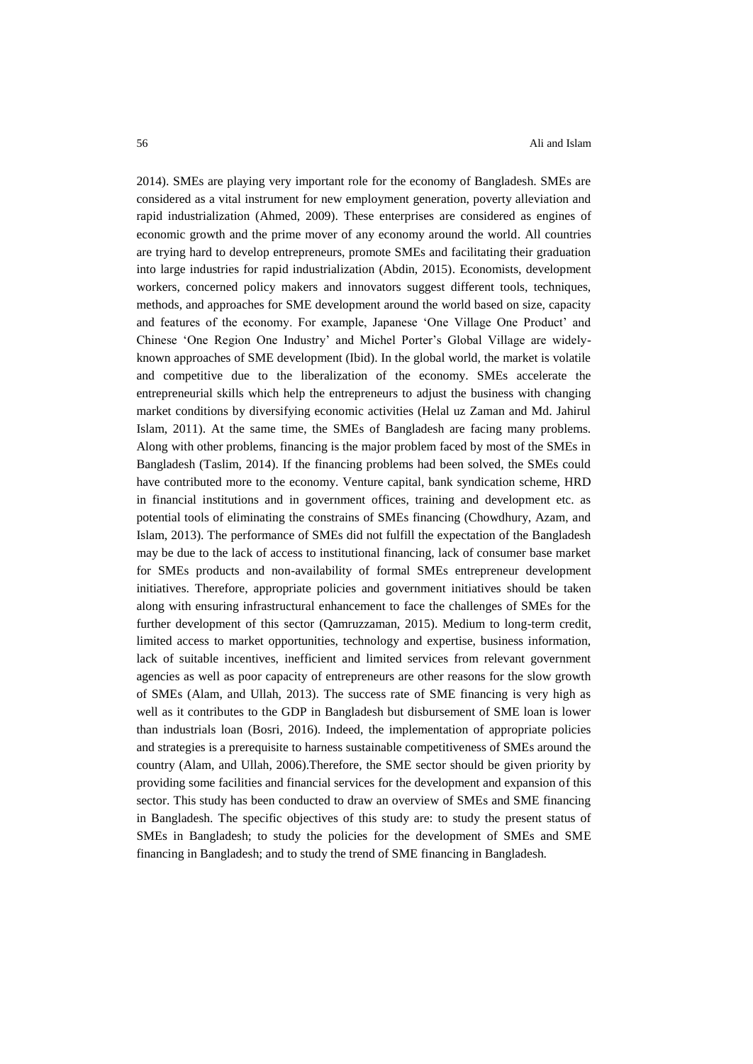2014). SMEs are playing very important role for the economy of Bangladesh. SMEs are considered as a vital instrument for new employment generation, poverty alleviation and rapid industrialization (Ahmed, 2009). These enterprises are considered as engines of economic growth and the prime mover of any economy around the world. All countries are trying hard to develop entrepreneurs, promote SMEs and facilitating their graduation into large industries for rapid industrialization (Abdin, 2015). Economists, development workers, concerned policy makers and innovators suggest different tools, techniques, methods, and approaches for SME development around the world based on size, capacity and features of the economy. For example, Japanese "One Village One Product" and Chinese "One Region One Industry" and Michel Porter"s Global Village are widelyknown approaches of SME development (Ibid). In the global world, the market is volatile and competitive due to the liberalization of the economy. SMEs accelerate the entrepreneurial skills which help the entrepreneurs to adjust the business with changing market conditions by diversifying economic activities (Helal uz Zaman and Md. Jahirul Islam, 2011). At the same time, the SMEs of Bangladesh are facing many problems. Along with other problems, financing is the major problem faced by most of the SMEs in Bangladesh (Taslim, 2014). If the financing problems had been solved, the SMEs could have contributed more to the economy. Venture capital, bank syndication scheme, HRD in financial institutions and in government offices, training and development etc. as potential tools of eliminating the constrains of SMEs financing (Chowdhury, Azam, and Islam, 2013). The performance of SMEs did not fulfill the expectation of the Bangladesh may be due to the lack of access to institutional financing, lack of consumer base market for SMEs products and non-availability of formal SMEs entrepreneur development initiatives. Therefore, appropriate policies and government initiatives should be taken along with ensuring infrastructural enhancement to face the challenges of SMEs for the further development of this sector (Qamruzzaman, 2015). Medium to long-term credit, limited access to market opportunities, technology and expertise, business information, lack of suitable incentives, inefficient and limited services from relevant government agencies as well as poor capacity of entrepreneurs are other reasons for the slow growth of SMEs (Alam, and Ullah, 2013). The success rate of SME financing is very high as well as it contributes to the GDP in Bangladesh but disbursement of SME loan is lower than industrials loan (Bosri, 2016). Indeed, the implementation of appropriate policies and strategies is a prerequisite to harness sustainable competitiveness of SMEs around the country (Alam, and Ullah, 2006).Therefore, the SME sector should be given priority by providing some facilities and financial services for the development and expansion of this sector. This study has been conducted to draw an overview of SMEs and SME financing in Bangladesh. The specific objectives of this study are: to study the present status of SMEs in Bangladesh; to study the policies for the development of SMEs and SME financing in Bangladesh; and to study the trend of SME financing in Bangladesh.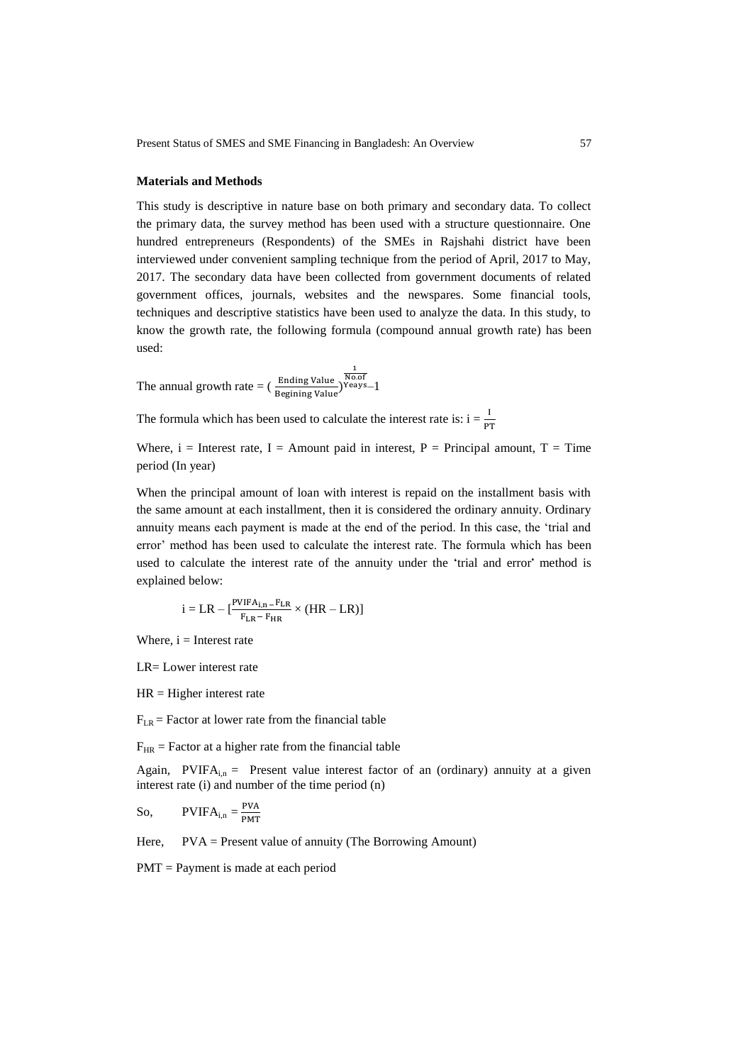### **Materials and Methods**

This study is descriptive in nature base on both primary and secondary data. To collect the primary data, the survey method has been used with a structure questionnaire. One hundred entrepreneurs (Respondents) of the SMEs in Rajshahi district have been interviewed under convenient sampling technique from the period of April, 2017 to May, 2017. The secondary data have been collected from government documents of related government offices, journals, websites and the newspares. Some financial tools, techniques and descriptive statistics have been used to analyze the data. In this study, to know the growth rate, the following formula (compound annual growth rate) has been used:

The annual growth rate  $=$   $(\frac{\text{Equating value}}{\text{Beginning Value}})$  $\frac{1}{\text{No.of}}$ Yeays $-1$ 

The formula which has been used to calculate the interest rate is:  $i = \frac{1}{p}$ 

Where,  $i =$  Interest rate, I = Amount paid in interest, P = Principal amount, T = Time period (In year)

When the principal amount of loan with interest is repaid on the installment basis with the same amount at each installment, then it is considered the ordinary annuity. Ordinary annuity means each payment is made at the end of the period. In this case, the "trial and error" method has been used to calculate the interest rate. The formula which has been used to calculate the interest rate of the annuity under the 'trial and error' method is explained below:

$$
i = LR - [\frac{{\sf P} {\sf VIFA}_{i,n}-{F}_{LR}}{{F}_{LR}-{F}_{HR}} \times (HR-LR)]
$$

Where,  $i =$  Interest rate

LR= Lower interest rate

 $HR = Higher$  interest rate

 $F_{LR}$  = Factor at lower rate from the financial table

 $F_{HR}$  = Factor at a higher rate from the financial table

Again, PVIFA<sub>i,n</sub> = Present value interest factor of an (ordinary) annuity at a given interest rate (i) and number of the time period (n)

So, 
$$
PVIFA_{i,n} = \frac{PVA}{PMT}
$$

Here, PVA = Present value of annuity (The Borrowing Amount)

PMT = Payment is made at each period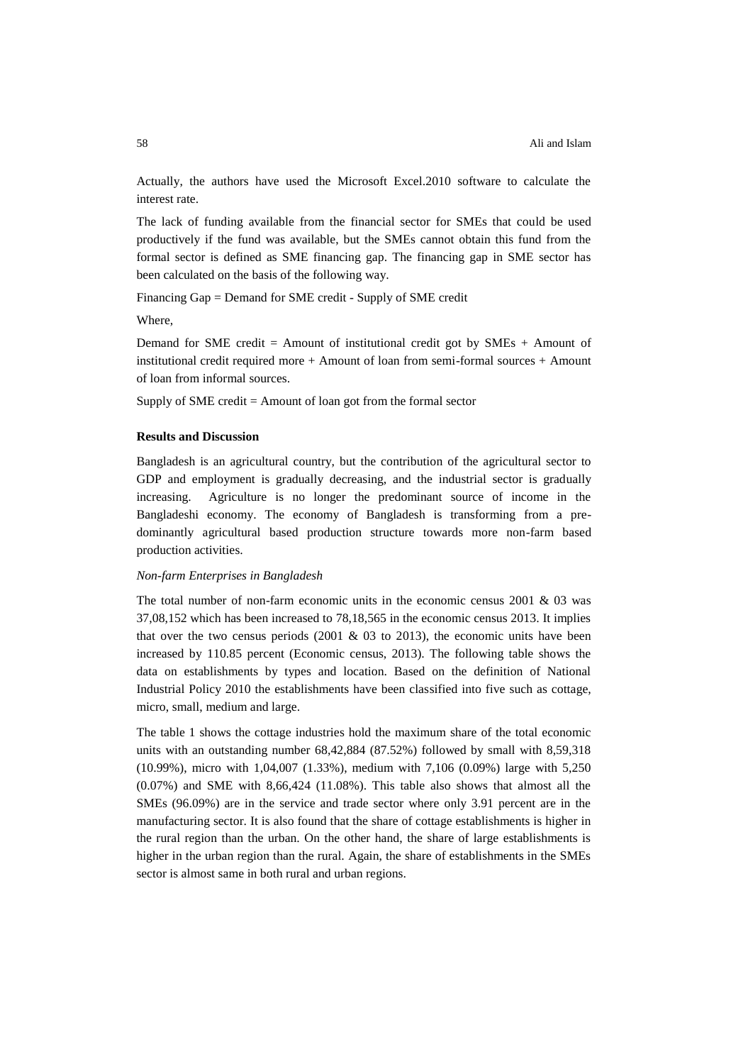Actually, the authors have used the Microsoft Excel.2010 software to calculate the interest rate.

The lack of funding available from the financial sector for SMEs that could be used productively if the fund was available, but the SMEs cannot obtain this fund from the formal sector is defined as SME financing gap. The financing gap in SME sector has been calculated on the basis of the following way.

Financing Gap = Demand for SME credit - Supply of SME credit

Where,

Demand for SME credit  $=$  Amount of institutional credit got by SMEs  $+$  Amount of institutional credit required more + Amount of loan from semi-formal sources + Amount of loan from informal sources.

Supply of SME credit = Amount of loan got from the formal sector

## **Results and Discussion**

Bangladesh is an agricultural country, but the contribution of the agricultural sector to GDP and employment is gradually decreasing, and the industrial sector is gradually increasing. Agriculture is no longer the predominant source of income in the Bangladeshi economy. The economy of Bangladesh is transforming from a predominantly agricultural based production structure towards more non-farm based production activities.

### *Non-farm Enterprises in Bangladesh*

The total number of non-farm economic units in the economic census  $2001 \& 03$  was 37,08,152 which has been increased to 78,18,565 in the economic census 2013. It implies that over the two census periods (2001  $\&$  03 to 2013), the economic units have been increased by 110.85 percent (Economic census, 2013). The following table shows the data on establishments by types and location. Based on the definition of National Industrial Policy 2010 the establishments have been classified into five such as cottage, micro, small, medium and large.

The table 1 shows the cottage industries hold the maximum share of the total economic units with an outstanding number 68,42,884 (87.52%) followed by small with 8,59,318 (10.99%), micro with 1,04,007 (1.33%), medium with 7,106 (0.09%) large with 5,250 (0.07%) and SME with 8,66,424 (11.08%). This table also shows that almost all the SMEs (96.09%) are in the service and trade sector where only 3.91 percent are in the manufacturing sector. It is also found that the share of cottage establishments is higher in the rural region than the urban. On the other hand, the share of large establishments is higher in the urban region than the rural. Again, the share of establishments in the SMEs sector is almost same in both rural and urban regions.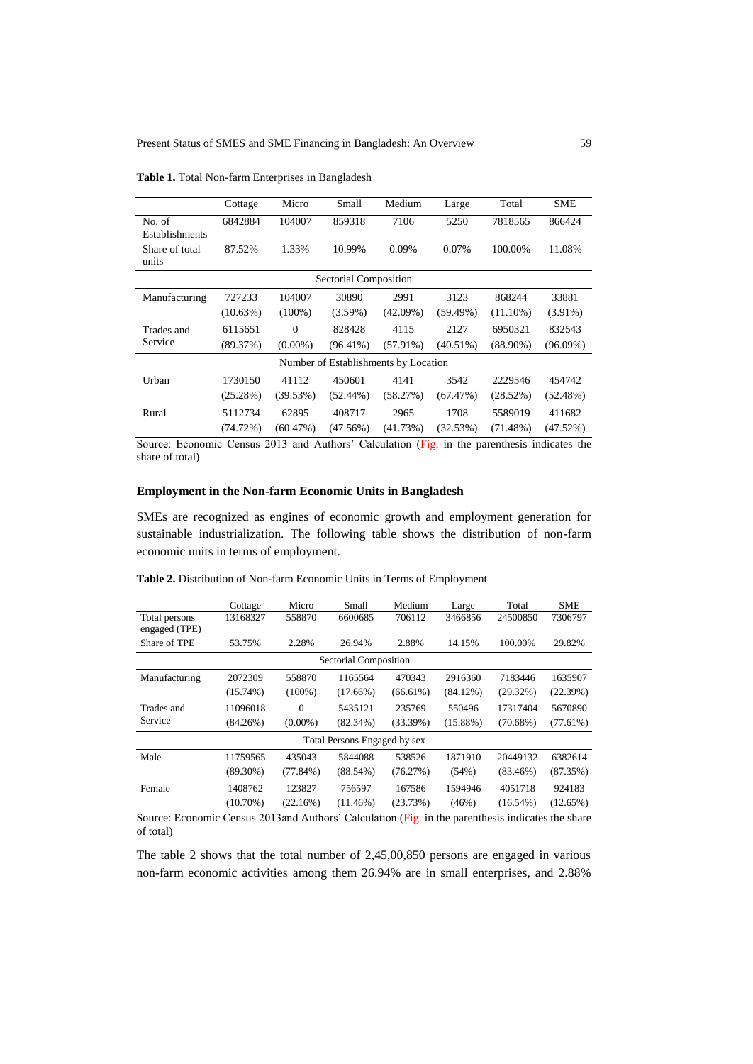|                          | Cottage     | Micro      | Small                 | Medium                               | Large       | Total       | <b>SME</b>  |
|--------------------------|-------------|------------|-----------------------|--------------------------------------|-------------|-------------|-------------|
| No. of<br>Establishments | 6842884     | 104007     | 859318                | 7106                                 | 5250        | 7818565     | 866424      |
| Share of total<br>units  | 87.52%      | 1.33%      | 10.99%                | 0.09%                                | 0.07%       | 100.00%     | 11.08%      |
|                          |             |            | Sectorial Composition |                                      |             |             |             |
| Manufacturing            | 727233      | 104007     | 30890                 | 2991                                 | 3123        | 868244      | 33881       |
|                          | $(10.63\%)$ | $(100\%)$  | $(3.59\%)$            | $(42.09\%)$                          | $(59.49\%)$ | $(11.10\%)$ | $(3.91\%)$  |
| Trades and               | 6115651     | $\Omega$   | 828428                | 4115                                 | 2127        | 6950321     | 832543      |
| Service                  | (89.37%)    | $(0.00\%)$ | $(96.41\%)$           | $(57.91\%)$                          | $(40.51\%)$ | $(88.90\%)$ | $(96.09\%)$ |
|                          |             |            |                       | Number of Establishments by Location |             |             |             |
| Urban                    | 1730150     | 41112      | 450601                | 4141                                 | 3542        | 2229546     | 454742      |
|                          | (25.28%)    | (39.53%)   | $(52.44\%)$           | (58.27%)                             | (67.47%)    | $(28.52\%)$ | $(52.48\%)$ |
| Rural                    | 5112734     | 62895      | 408717                | 2965                                 | 1708        | 5589019     | 411682      |
|                          | (74.72%)    | (60.47%)   | (47.56%)              | (41.73%)                             | (32.53%)    | $(71.48\%)$ | (47.52%)    |

**Table 1.** Total Non-farm Enterprises in Bangladesh

Source: Economic Census 2013 and Authors" Calculation (Fig. in the parenthesis indicates the share of total)

## **Employment in the Non-farm Economic Units in Bangladesh**

SMEs are recognized as engines of economic growth and employment generation for sustainable industrialization. The following table shows the distribution of non-farm economic units in terms of employment.

|                                | Cottage     | Micro       | Small                        | Medium      | Large       | Total       | <b>SME</b>  |
|--------------------------------|-------------|-------------|------------------------------|-------------|-------------|-------------|-------------|
| Total persons<br>engaged (TPE) | 13168327    | 558870      | 6600685                      | 706112      | 3466856     | 24500850    | 7306797     |
| Share of TPE                   | 53.75%      | 2.28%       | 26.94%                       | 2.88%       | 14.15%      | 100.00%     | 29.82%      |
|                                |             |             | Sectorial Composition        |             |             |             |             |
| Manufacturing                  | 2072309     | 558870      | 1165564                      | 470343      | 2916360     | 7183446     | 1635907     |
|                                | $(15.74\%)$ | $(100\%)$   | $(17.66\%)$                  | $(66.61\%)$ | $(84.12\%)$ | $(29.32\%)$ | (22.39%)    |
| Trades and                     | 11096018    | $\Omega$    | 5435121                      | 235769      | 550496      | 17317404    | 5670890     |
| Service                        | $(84.26\%)$ | $(0.00\%)$  | $(82.34\%)$                  | (33.39%)    | $(15.88\%)$ | $(70.68\%)$ | $(77.61\%)$ |
|                                |             |             | Total Persons Engaged by sex |             |             |             |             |
| Male                           | 11759565    | 435043      | 5844088                      | 538526      | 1871910     | 20449132    | 6382614     |
|                                | $(89.30\%)$ | $(77.84\%)$ | $(88.54\%)$                  | (76.27%)    | (54%)       | $(83.46\%)$ | (87.35%)    |
| Female                         | 1408762     | 123827      | 756597                       | 167586      | 1594946     | 4051718     | 924183      |
|                                | $(10.70\%)$ | (22.16%)    | $(11.46\%)$                  | (23.73%)    | (46%)       | $(16.54\%)$ | $(12.65\%)$ |

**Table 2.** Distribution of Non-farm Economic Units in Terms of Employment

Source: Economic Census 2013and Authors" Calculation (Fig. in the parenthesis indicates the share of total)

The table 2 shows that the total number of 2,45,00,850 persons are engaged in various non-farm economic activities among them 26.94% are in small enterprises, and 2.88%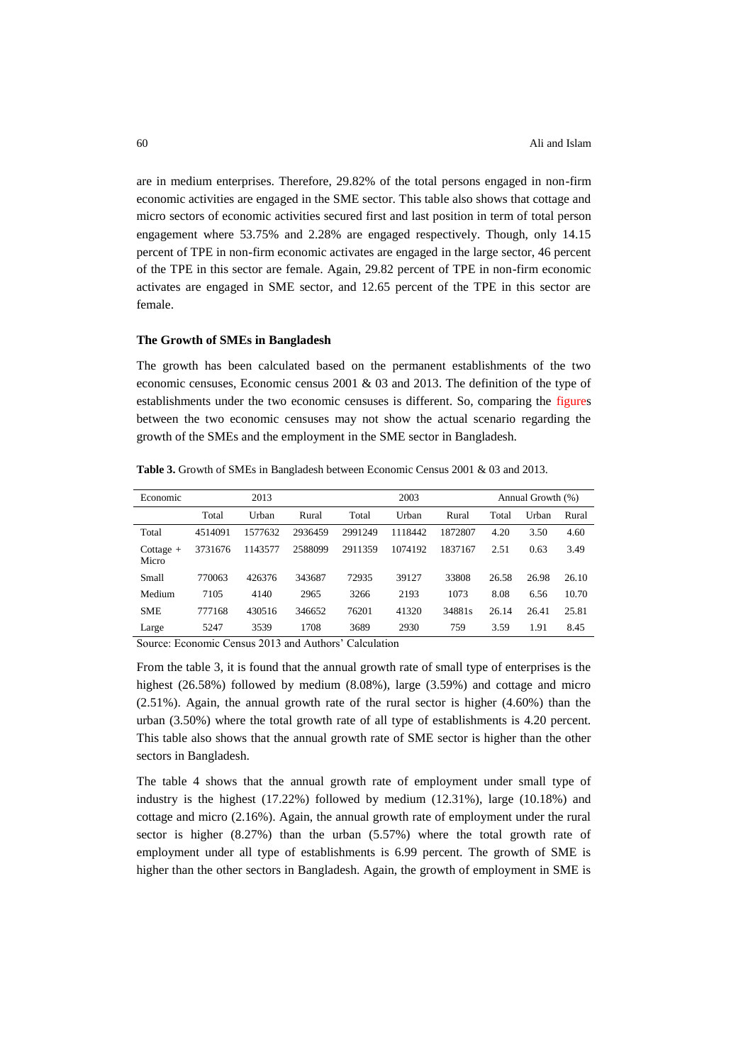are in medium enterprises. Therefore, 29.82% of the total persons engaged in non-firm economic activities are engaged in the SME sector. This table also shows that cottage and micro sectors of economic activities secured first and last position in term of total person engagement where 53.75% and 2.28% are engaged respectively. Though, only 14.15 percent of TPE in non-firm economic activates are engaged in the large sector, 46 percent of the TPE in this sector are female. Again, 29.82 percent of TPE in non-firm economic activates are engaged in SME sector, and 12.65 percent of the TPE in this sector are female.

#### **The Growth of SMEs in Bangladesh**

The growth has been calculated based on the permanent establishments of the two economic censuses, Economic census 2001 & 03 and 2013. The definition of the type of establishments under the two economic censuses is different. So, comparing the figures between the two economic censuses may not show the actual scenario regarding the growth of the SMEs and the employment in the SME sector in Bangladesh.

Economic 2013 2003 Annual Growth (%) Total Urban Rural Total Urban Rural Total Urban Rural Total 4514091 1577632 2936459 2991249 1118442 1872807 4.20 3.50 4.60 Cottage + Micro 3731676 1143577 2588099 2911359 1074192 1837167 2.51 0.63 3.49 Small 770063 426376 343687 72935 39127 33808 26.58 26.98 26.10

Medium 7105 4140 2965 3266 2193 1073 8.08 6.56 10.70 SME 777168 430516 346652 76201 41320 34881s 26.14 26.41 25.81 Large 5247 3539 1708 3689 2930 759 3.59 1.91 8.45

**Table 3.** Growth of SMEs in Bangladesh between Economic Census 2001 & 03 and 2013.

Source: Economic Census 2013 and Authors' Calculation

From the table 3, it is found that the annual growth rate of small type of enterprises is the highest (26.58%) followed by medium (8.08%), large (3.59%) and cottage and micro (2.51%). Again, the annual growth rate of the rural sector is higher (4.60%) than the urban (3.50%) where the total growth rate of all type of establishments is 4.20 percent. This table also shows that the annual growth rate of SME sector is higher than the other sectors in Bangladesh.

The table 4 shows that the annual growth rate of employment under small type of industry is the highest (17.22%) followed by medium (12.31%), large (10.18%) and cottage and micro (2.16%). Again, the annual growth rate of employment under the rural sector is higher (8.27%) than the urban (5.57%) where the total growth rate of employment under all type of establishments is 6.99 percent. The growth of SME is higher than the other sectors in Bangladesh. Again, the growth of employment in SME is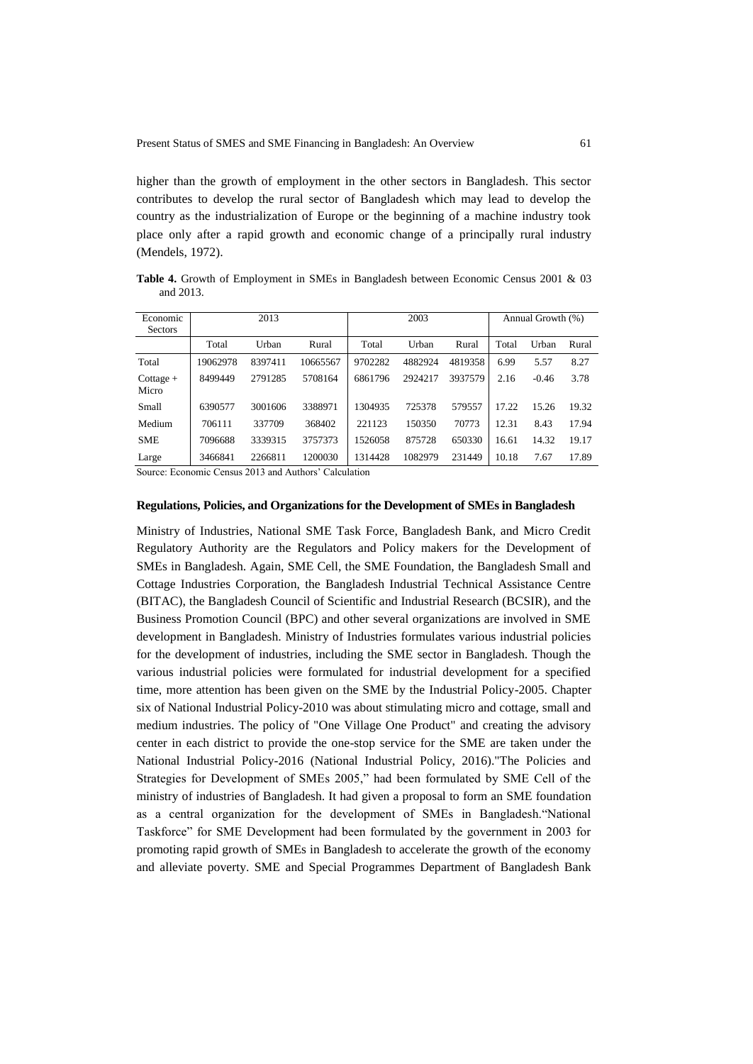higher than the growth of employment in the other sectors in Bangladesh. This sector contributes to develop the rural sector of Bangladesh which may lead to develop the country as the industrialization of Europe or the beginning of a machine industry took place only after a rapid growth and economic change of a principally rural industry (Mendels, 1972).

**Table 4.** Growth of Employment in SMEs in Bangladesh between Economic Census 2001 & 03 and 2013.

| Economic<br><b>Sectors</b> |          | 2013    |          | 2003    |         |         | Annual Growth (%) |         |       |
|----------------------------|----------|---------|----------|---------|---------|---------|-------------------|---------|-------|
|                            | Total    | Urban   | Rural    | Total   | Urban   | Rural   | Total             | Urban   | Rural |
| Total                      | 19062978 | 8397411 | 10665567 | 9702282 | 4882924 | 4819358 | 6.99              | 5.57    | 8.27  |
| $Cottage +$<br>Micro       | 8499449  | 2791285 | 5708164  | 6861796 | 2924217 | 3937579 | 2.16              | $-0.46$ | 3.78  |
| Small                      | 6390577  | 3001606 | 3388971  | 1304935 | 725378  | 579557  | 17.22             | 15.26   | 19.32 |
| Medium                     | 706111   | 337709  | 368402   | 221123  | 150350  | 70773   | 12.31             | 8.43    | 17.94 |
| <b>SME</b>                 | 7096688  | 3339315 | 3757373  | 1526058 | 875728  | 650330  | 16.61             | 14.32   | 19.17 |
| Large                      | 3466841  | 2266811 | 1200030  | 1314428 | 1082979 | 231449  | 10.18             | 7.67    | 17.89 |

Source: Economic Census 2013 and Authors" Calculation

### **Regulations, Policies, and Organizations for the Development of SMEs in Bangladesh**

Ministry of Industries, National SME Task Force, Bangladesh Bank, and Micro Credit Regulatory Authority are the Regulators and Policy makers for the Development of SMEs in Bangladesh. Again, SME Cell, the SME Foundation, the Bangladesh Small and Cottage Industries Corporation, the Bangladesh Industrial Technical Assistance Centre (BITAC), the Bangladesh Council of Scientific and Industrial Research (BCSIR), and the Business Promotion Council (BPC) and other several organizations are involved in SME development in Bangladesh. Ministry of Industries formulates various industrial policies for the development of industries, including the SME sector in Bangladesh. Though the various industrial policies were formulated for industrial development for a specified time, more attention has been given on the SME by the Industrial Policy-2005. Chapter six of National Industrial Policy-2010 was about stimulating micro and cottage, small and medium industries. The policy of "One Village One Product" and creating the advisory center in each district to provide the one-stop service for the SME are taken under the National Industrial Policy-2016 (National Industrial Policy, 2016)."The Policies and Strategies for Development of SMEs 2005," had been formulated by SME Cell of the ministry of industries of Bangladesh. It had given a proposal to form an SME foundation as a central organization for the development of SMEs in Bangladesh."National Taskforce" for SME Development had been formulated by the government in 2003 for promoting rapid growth of SMEs in Bangladesh to accelerate the growth of the economy and alleviate poverty. SME and Special Programmes Department of Bangladesh Bank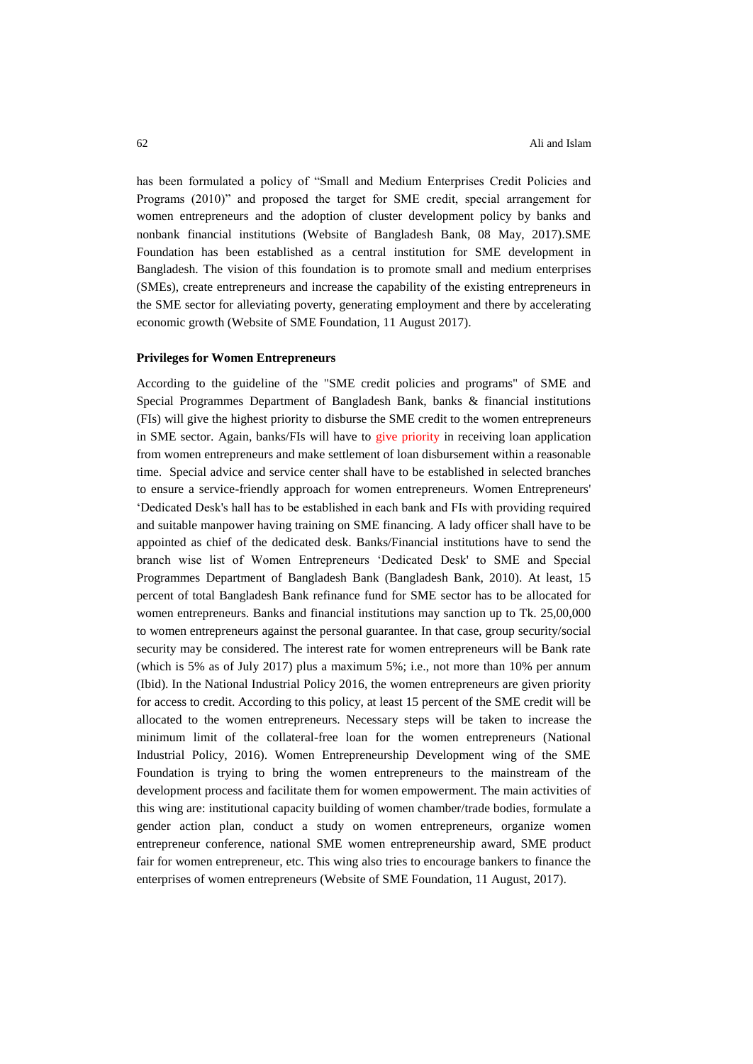has been formulated a policy of "Small and Medium Enterprises Credit Policies and Programs (2010)" and proposed the target for SME credit, special arrangement for women entrepreneurs and the adoption of cluster development policy by banks and nonbank financial institutions (Website of Bangladesh Bank, 08 May, 2017).SME Foundation has been established as a central institution for SME development in Bangladesh. The vision of this foundation is to promote small and medium enterprises (SMEs), create entrepreneurs and increase the capability of the existing entrepreneurs in the SME sector for alleviating poverty, generating employment and there by accelerating economic growth (Website of SME Foundation, 11 August 2017).

### **Privileges for Women Entrepreneurs**

According to the guideline of the "SME credit policies and programs" of SME and Special Programmes Department of Bangladesh Bank, banks & financial institutions (FIs) will give the highest priority to disburse the SME credit to the women entrepreneurs in SME sector. Again, banks/FIs will have to give priority in receiving loan application from women entrepreneurs and make settlement of loan disbursement within a reasonable time. Special advice and service center shall have to be established in selected branches to ensure a service-friendly approach for women entrepreneurs. Women Entrepreneurs' "Dedicated Desk's hall has to be established in each bank and FIs with providing required and suitable manpower having training on SME financing. A lady officer shall have to be appointed as chief of the dedicated desk. Banks/Financial institutions have to send the branch wise list of Women Entrepreneurs "Dedicated Desk' to SME and Special Programmes Department of Bangladesh Bank (Bangladesh Bank, 2010). At least, 15 percent of total Bangladesh Bank refinance fund for SME sector has to be allocated for women entrepreneurs. Banks and financial institutions may sanction up to Tk. 25,00,000 to women entrepreneurs against the personal guarantee. In that case, group security/social security may be considered. The interest rate for women entrepreneurs will be Bank rate (which is 5% as of July 2017) plus a maximum 5%; i.e., not more than 10% per annum (Ibid). In the National Industrial Policy 2016, the women entrepreneurs are given priority for access to credit. According to this policy, at least 15 percent of the SME credit will be allocated to the women entrepreneurs. Necessary steps will be taken to increase the minimum limit of the collateral-free loan for the women entrepreneurs (National Industrial Policy, 2016). Women Entrepreneurship Development wing of the SME Foundation is trying to bring the women entrepreneurs to the mainstream of the development process and facilitate them for women empowerment. The main activities of this wing are: institutional capacity building of women chamber/trade bodies, formulate a gender action plan, conduct a study on women entrepreneurs, organize women entrepreneur conference, national SME women entrepreneurship award, SME product fair for women entrepreneur, etc. This wing also tries to encourage bankers to finance the enterprises of women entrepreneurs (Website of SME Foundation, 11 August, 2017).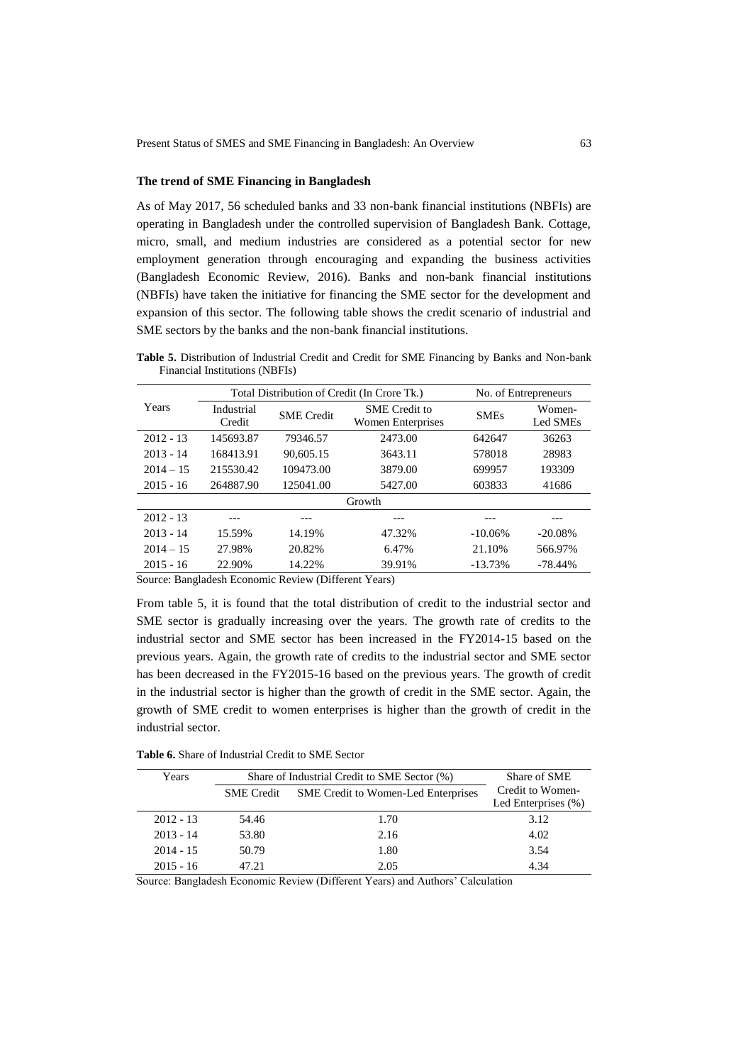### **The trend of SME Financing in Bangladesh**

As of May 2017, 56 scheduled banks and 33 non-bank financial institutions (NBFIs) are operating in Bangladesh under the controlled supervision of Bangladesh Bank. Cottage, micro, small, and medium industries are considered as a potential sector for new employment generation through encouraging and expanding the business activities (Bangladesh Economic Review, 2016). Banks and non-bank financial institutions (NBFIs) have taken the initiative for financing the SME sector for the development and expansion of this sector. The following table shows the credit scenario of industrial and SME sectors by the banks and the non-bank financial institutions.

**Table 5.** Distribution of Industrial Credit and Credit for SME Financing by Banks and Non-bank Financial Institutions (NBFIs)

|             |                      |                                                                | Total Distribution of Credit (In Crore Tk.) |             | No. of Entrepreneurs |
|-------------|----------------------|----------------------------------------------------------------|---------------------------------------------|-------------|----------------------|
| Years       | Industrial<br>Credit | <b>SME</b> Credit to<br><b>SME</b> Credit<br>Women Enterprises |                                             | <b>SMEs</b> | Women-<br>Led SMEs   |
| $2012 - 13$ | 145693.87            | 79346.57                                                       | 2473.00                                     | 642647      | 36263                |
| $2013 - 14$ | 168413.91            | 90.605.15                                                      | 3643.11                                     | 578018      | 28983                |
| $2014 - 15$ | 215530.42            | 109473.00                                                      | 3879.00                                     | 699957      | 193309               |
| $2015 - 16$ | 264887.90            | 125041.00                                                      | 5427.00                                     | 603833      | 41686                |
|             |                      |                                                                | Growth                                      |             |                      |
| $2012 - 13$ |                      |                                                                |                                             |             |                      |
| $2013 - 14$ | 15.59%               | 14.19%                                                         | 47.32%                                      | $-10.06\%$  | $-20.08%$            |
| $2014 - 15$ | 27.98%               | 20.82%                                                         | 6.47%                                       | 21.10%      | 566.97%              |
| $2015 - 16$ | 22.90%               | 14.22%                                                         | 39.91%                                      | $-13.73%$   | $-78.44\%$           |

Source: Bangladesh Economic Review (Different Years)

From table 5, it is found that the total distribution of credit to the industrial sector and SME sector is gradually increasing over the years. The growth rate of credits to the industrial sector and SME sector has been increased in the FY2014-15 based on the previous years. Again, the growth rate of credits to the industrial sector and SME sector has been decreased in the FY2015-16 based on the previous years. The growth of credit in the industrial sector is higher than the growth of credit in the SME sector. Again, the growth of SME credit to women enterprises is higher than the growth of credit in the industrial sector.

**Table 6.** Share of Industrial Credit to SME Sector

| Years       | Share of Industrial Credit to SME Sector (%) | Share of SME                               |                     |
|-------------|----------------------------------------------|--------------------------------------------|---------------------|
|             | <b>SME</b> Credit                            | <b>SME</b> Credit to Women-Led Enterprises | Credit to Women-    |
|             |                                              |                                            | Led Enterprises (%) |
| $2012 - 13$ | 54.46                                        | 1.70                                       | 3.12                |
| $2013 - 14$ | 53.80                                        | 2.16                                       | 4.02                |
| $2014 - 15$ | 50.79                                        | 1.80                                       | 3.54                |
| $2015 - 16$ | 47.21                                        | 2.05                                       | 4.34                |

Source: Bangladesh Economic Review (Different Years) and Authors" Calculation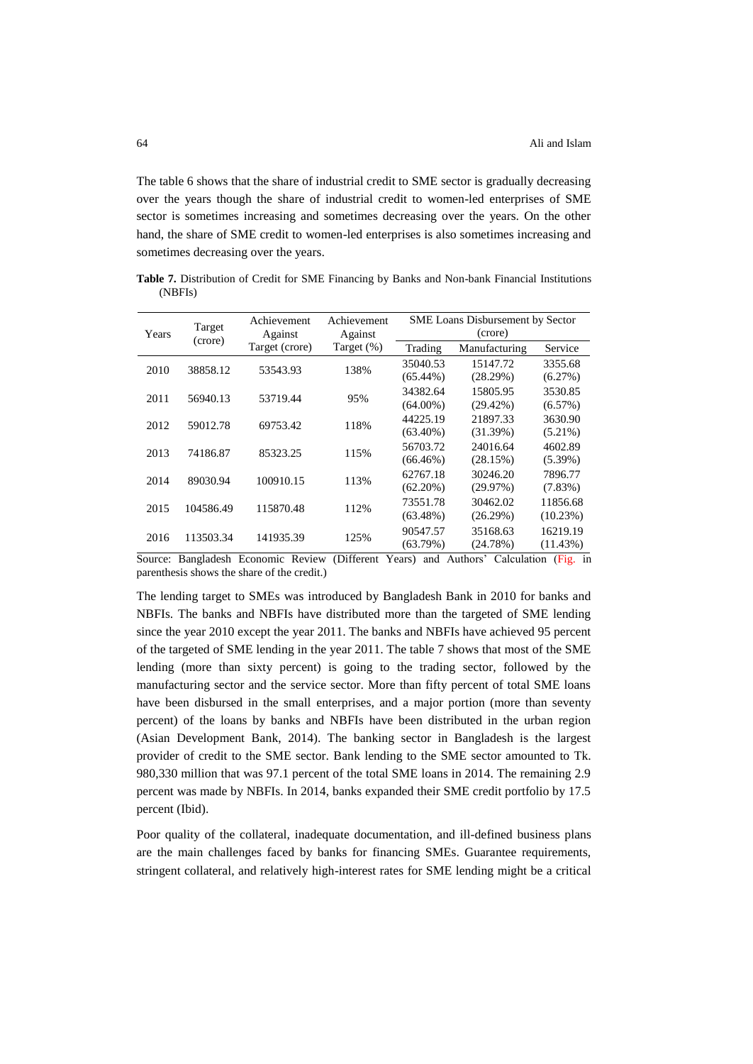The table 6 shows that the share of industrial credit to SME sector is gradually decreasing over the years though the share of industrial credit to women-led enterprises of SME sector is sometimes increasing and sometimes decreasing over the years. On the other hand, the share of SME credit to women-led enterprises is also sometimes increasing and sometimes decreasing over the years.

**Table 7.** Distribution of Credit for SME Financing by Banks and Non-bank Financial Institutions (NBFIs)

| Years | Target                                 | Achievement    | Achievement   |             | Against<br>Against |            | <b>SME Loans Disbursement by Sector</b><br>(crore) |  |
|-------|----------------------------------------|----------------|---------------|-------------|--------------------|------------|----------------------------------------------------|--|
|       | (crore)                                | Target (crore) | Target $(\%)$ | Trading     | Manufacturing      | Service    |                                                    |  |
| 2010  | 38858.12                               | 53543.93       | 138%          | 35040.53    | 15147.72           | 3355.68    |                                                    |  |
|       |                                        |                |               | $(65.44\%)$ | (28.29%)           | (6.27%)    |                                                    |  |
| 2011  |                                        | 53719.44       |               | 34382.64    | 15805.95           | 3530.85    |                                                    |  |
|       | 56940.13                               |                | 95%           | $(64.00\%)$ | $(29.42\%)$        | $(6.57\%)$ |                                                    |  |
|       |                                        |                |               | 44225.19    | 21897.33           | 3630.90    |                                                    |  |
| 2012  | 59012.78                               | 69753.42       | 118%          | $(63.40\%)$ | (31.39%)           | $(5.21\%)$ |                                                    |  |
|       |                                        |                |               | 56703.72    | 24016.64           | 4602.89    |                                                    |  |
| 2013  | 74186.87                               | 85323.25       | 115%          | $(66.46\%)$ | (28.15%)           | $(5.39\%)$ |                                                    |  |
| 2014  | 89030.94                               | 100910.15      | 113%          | 62767.18    | 30246.20           | 7896.77    |                                                    |  |
|       |                                        |                |               | $(62.20\%)$ | (29.97%)           | $(7.83\%)$ |                                                    |  |
|       |                                        |                |               | 73551.78    | 30462.02           | 11856.68   |                                                    |  |
| 2015  | 115870.48<br>104586.49                 | 112%           | $(63.48\%)$   | (26.29%)    | $(10.23\%)$        |            |                                                    |  |
|       |                                        |                |               | 90547.57    | 35168.63           | 16219.19   |                                                    |  |
|       | 2016<br>113503.34<br>141935.39<br>125% |                |               | (63.79%)    | (24.78%)           | (11.43%)   |                                                    |  |

Source: Bangladesh Economic Review (Different Years) and Authors" Calculation (Fig. in parenthesis shows the share of the credit.)

The lending target to SMEs was introduced by Bangladesh Bank in 2010 for banks and NBFIs. The banks and NBFIs have distributed more than the targeted of SME lending since the year 2010 except the year 2011. The banks and NBFIs have achieved 95 percent of the targeted of SME lending in the year 2011. The table 7 shows that most of the SME lending (more than sixty percent) is going to the trading sector, followed by the manufacturing sector and the service sector. More than fifty percent of total SME loans have been disbursed in the small enterprises, and a major portion (more than seventy percent) of the loans by banks and NBFIs have been distributed in the urban region (Asian Development Bank, 2014). The banking sector in Bangladesh is the largest provider of credit to the SME sector. Bank lending to the SME sector amounted to Tk. 980,330 million that was 97.1 percent of the total SME loans in 2014. The remaining 2.9 percent was made by NBFIs. In 2014, banks expanded their SME credit portfolio by 17.5 percent (Ibid).

Poor quality of the collateral, inadequate documentation, and ill-defined business plans are the main challenges faced by banks for financing SMEs. Guarantee requirements, stringent collateral, and relatively high-interest rates for SME lending might be a critical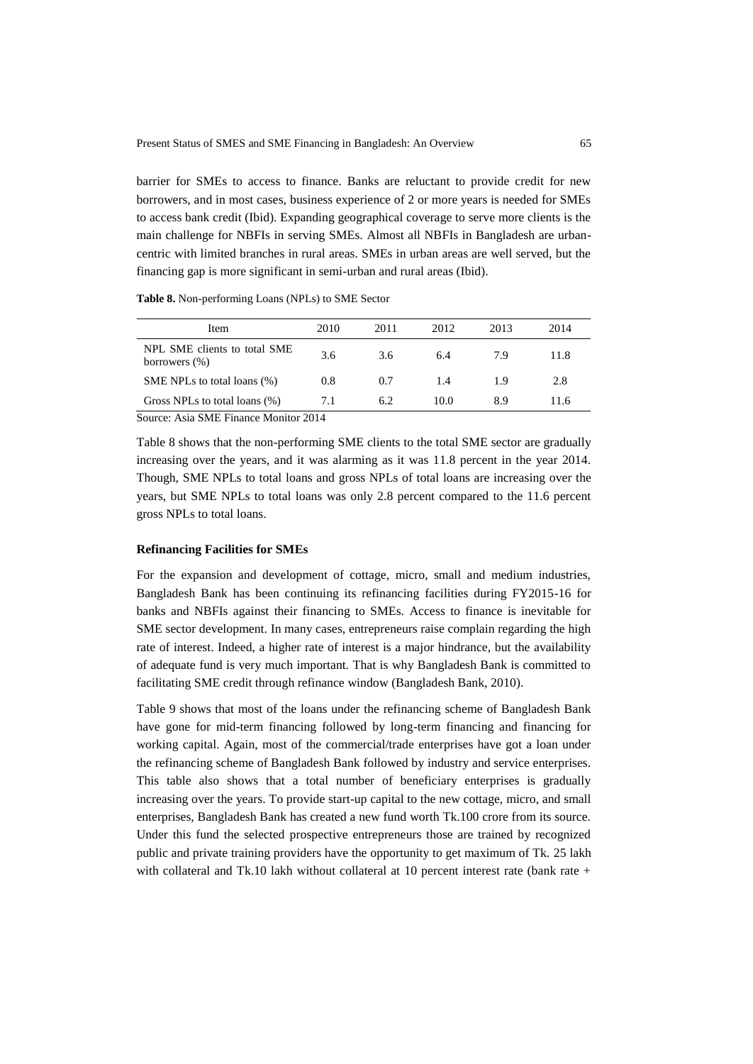barrier for SMEs to access to finance. Banks are reluctant to provide credit for new borrowers, and in most cases, business experience of 2 or more years is needed for SMEs to access bank credit (Ibid). Expanding geographical coverage to serve more clients is the main challenge for NBFIs in serving SMEs. Almost all NBFIs in Bangladesh are urbancentric with limited branches in rural areas. SMEs in urban areas are well served, but the financing gap is more significant in semi-urban and rural areas (Ibid).

**Table 8.** Non-performing Loans (NPLs) to SME Sector

| Item                                             | 2010 | 2011 | 2012 | 2013 | 2014 |  |
|--------------------------------------------------|------|------|------|------|------|--|
| NPL SME clients to total SME<br>borrowers $(\%)$ | 3.6  | 3.6  | 6.4  | 7.9  | 11.8 |  |
| SME NPLs to total loans (%)                      | 0.8  | 0.7  | 1.4  | 1.9  | 2.8  |  |
| Gross NPLs to total loans (%)                    | 7.1  | 6.2  | 10.0 | 8.9  | 11.6 |  |
| Source: Asia SME Finance Monitor 2014            |      |      |      |      |      |  |

Table 8 shows that the non-performing SME clients to the total SME sector are gradually increasing over the years, and it was alarming as it was 11.8 percent in the year 2014. Though, SME NPLs to total loans and gross NPLs of total loans are increasing over the years, but SME NPLs to total loans was only 2.8 percent compared to the 11.6 percent gross NPLs to total loans.

#### **Refinancing Facilities for SMEs**

For the expansion and development of cottage, micro, small and medium industries, Bangladesh Bank has been continuing its refinancing facilities during FY2015-16 for banks and NBFIs against their financing to SMEs. Access to finance is inevitable for SME sector development. In many cases, entrepreneurs raise complain regarding the high rate of interest. Indeed, a higher rate of interest is a major hindrance, but the availability of adequate fund is very much important. That is why Bangladesh Bank is committed to facilitating SME credit through refinance window (Bangladesh Bank, 2010).

Table 9 shows that most of the loans under the refinancing scheme of Bangladesh Bank have gone for mid-term financing followed by long-term financing and financing for working capital. Again, most of the commercial/trade enterprises have got a loan under the refinancing scheme of Bangladesh Bank followed by industry and service enterprises. This table also shows that a total number of beneficiary enterprises is gradually increasing over the years. To provide start-up capital to the new cottage, micro, and small enterprises, Bangladesh Bank has created a new fund worth Tk.100 crore from its source. Under this fund the selected prospective entrepreneurs those are trained by recognized public and private training providers have the opportunity to get maximum of Tk. 25 lakh with collateral and Tk.10 lakh without collateral at 10 percent interest rate (bank rate +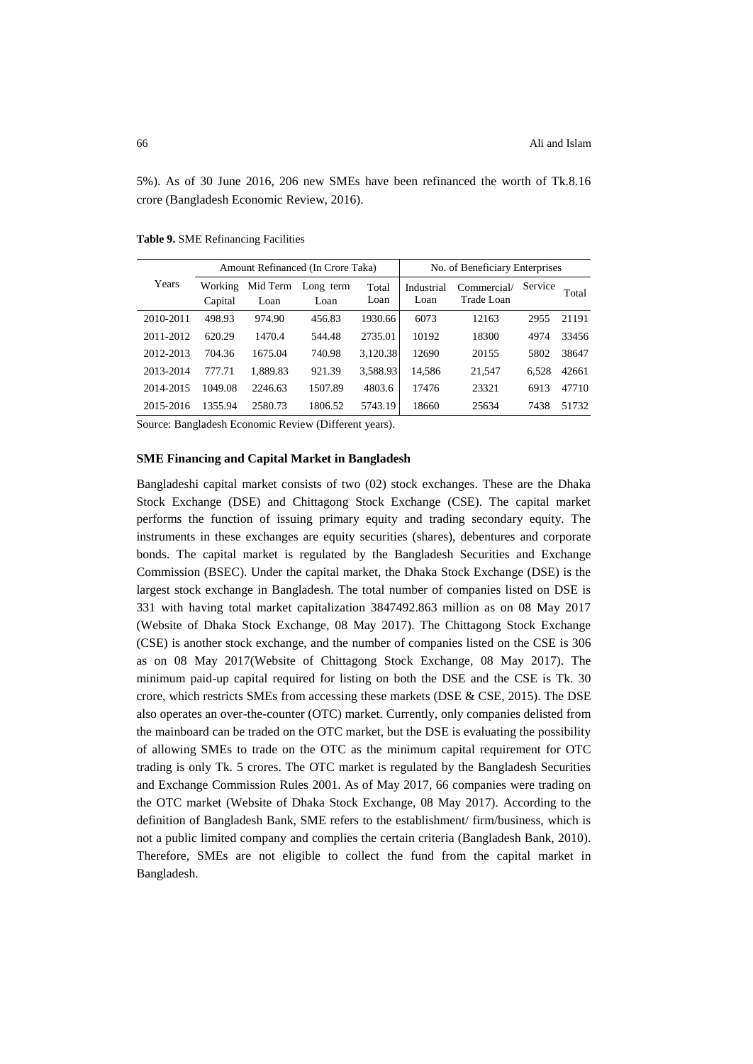5%). As of 30 June 2016, 206 new SMEs have been refinanced the worth of Tk.8.16 crore (Bangladesh Economic Review, 2016).

| Amount Refinanced (In Crore Taka) |                    |                  |                   | No. of Beneficiary Enterprises |                    |                           |         |       |
|-----------------------------------|--------------------|------------------|-------------------|--------------------------------|--------------------|---------------------------|---------|-------|
| Years                             | Working<br>Capital | Mid Term<br>Loan | Long term<br>Loan | Total<br>Loan                  | Industrial<br>Loan | Commercial/<br>Trade Loan | Service | Total |
| 2010-2011                         | 498.93             | 974.90           | 456.83            | 1930.66                        | 6073               | 12163                     | 2955    | 21191 |
| 2011-2012                         | 620.29             | 1470.4           | 544.48            | 2735.01                        | 10192              | 18300                     | 4974    | 33456 |
| 2012-2013                         | 704.36             | 1675.04          | 740.98            | 3.120.38                       | 12690              | 20155                     | 5802    | 38647 |
| 2013-2014                         | 777.71             | 1.889.83         | 921.39            | 3.588.93                       | 14.586             | 21,547                    | 6.528   | 42661 |
| 2014-2015                         | 1049.08            | 2246.63          | 1507.89           | 4803.6                         | 17476              | 23321                     | 6913    | 47710 |
| 2015-2016                         | 1355.94            | 2580.73          | 1806.52           | 5743.19                        | 18660              | 25634                     | 7438    | 51732 |
|                                   |                    |                  |                   |                                |                    |                           |         |       |

**Table 9.** SME Refinancing Facilities

Source: Bangladesh Economic Review (Different years).

### **SME Financing and Capital Market in Bangladesh**

Bangladeshi capital market consists of two (02) stock exchanges. These are the Dhaka Stock Exchange (DSE) and Chittagong Stock Exchange (CSE). The capital market performs the function of issuing primary equity and trading secondary equity. The instruments in these exchanges are equity securities (shares), debentures and corporate bonds. The capital market is regulated by the Bangladesh Securities and Exchange Commission (BSEC). Under the capital market, the Dhaka Stock Exchange (DSE) is the largest stock exchange in Bangladesh. The total number of companies listed on DSE is 331 with having total market capitalization 3847492.863 million as on 08 May 2017 (Website of Dhaka Stock Exchange, 08 May 2017). The Chittagong Stock Exchange (CSE) is another stock exchange, and the number of companies listed on the CSE is 306 as on 08 May 2017(Website of Chittagong Stock Exchange, 08 May 2017). The minimum paid-up capital required for listing on both the DSE and the CSE is Tk. 30 crore, which restricts SMEs from accessing these markets (DSE & CSE, 2015). The DSE also operates an over-the-counter (OTC) market. Currently, only companies delisted from the mainboard can be traded on the OTC market, but the DSE is evaluating the possibility of allowing SMEs to trade on the OTC as the minimum capital requirement for OTC trading is only Tk. 5 crores. The OTC market is regulated by the Bangladesh Securities and Exchange Commission Rules 2001. As of May 2017, 66 companies were trading on the OTC market (Website of Dhaka Stock Exchange, 08 May 2017). According to the definition of Bangladesh Bank, SME refers to the establishment/ firm/business, which is not a public limited company and complies the certain criteria (Bangladesh Bank, 2010). Therefore, SMEs are not eligible to collect the fund from the capital market in Bangladesh.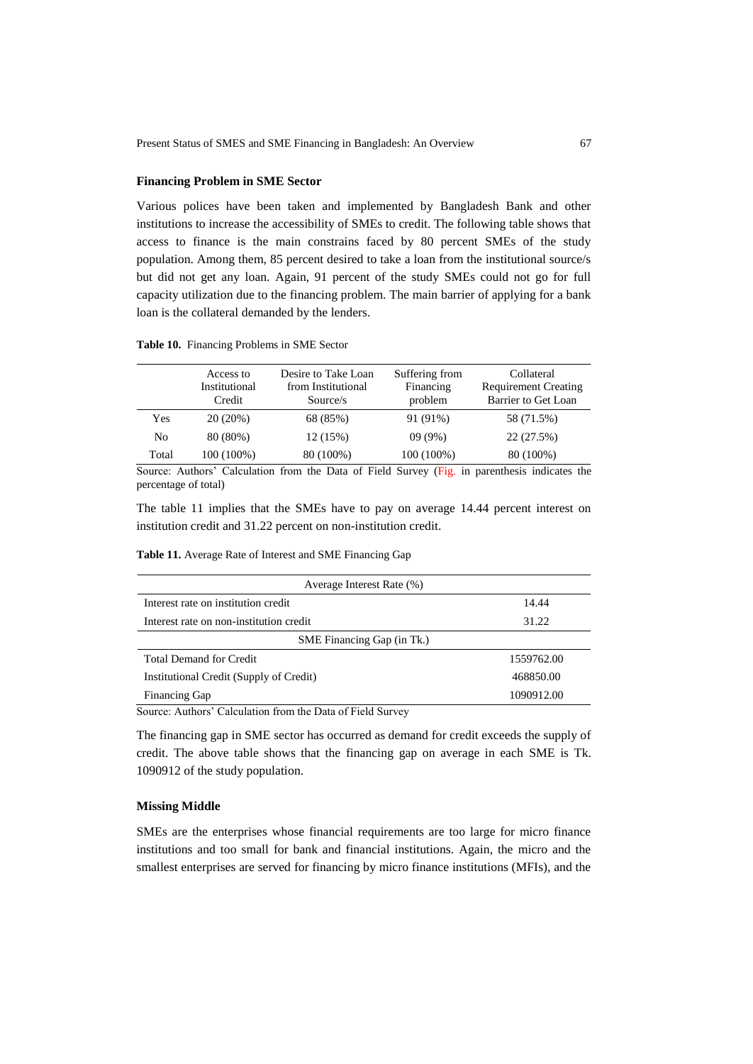### **Financing Problem in SME Sector**

Various polices have been taken and implemented by Bangladesh Bank and other institutions to increase the accessibility of SMEs to credit. The following table shows that access to finance is the main constrains faced by 80 percent SMEs of the study population. Among them, 85 percent desired to take a loan from the institutional source/s but did not get any loan. Again, 91 percent of the study SMEs could not go for full capacity utilization due to the financing problem. The main barrier of applying for a bank loan is the collateral demanded by the lenders.

#### **Table 10.** Financing Problems in SME Sector

|       | Access to<br>Institutional<br>Credit | Desire to Take Loan<br>from Institutional<br>Source/s | Suffering from<br>Financing<br>problem | Collateral<br><b>Requirement Creating</b><br>Barrier to Get Loan |
|-------|--------------------------------------|-------------------------------------------------------|----------------------------------------|------------------------------------------------------------------|
| Yes   | 20(20%)                              | 68 (85%)                                              | 91 (91%)                               | 58 (71.5%)                                                       |
| No    | 80 (80%)                             | 12(15%)                                               | 09(9%)                                 | 22 (27.5%)                                                       |
| Total | 100 (100%)                           | 80 (100%)                                             | 100 (100%)                             | 80 (100%)                                                        |

Source: Authors" Calculation from the Data of Field Survey (Fig. in parenthesis indicates the percentage of total)

The table 11 implies that the SMEs have to pay on average 14.44 percent interest on institution credit and 31.22 percent on non-institution credit.

| Table 11. Average Rate of Interest and SME Financing Gap |  |  |
|----------------------------------------------------------|--|--|
|----------------------------------------------------------|--|--|

| Average Interest Rate (%)               |            |  |  |  |  |
|-----------------------------------------|------------|--|--|--|--|
| Interest rate on institution credit     | 14.44      |  |  |  |  |
| Interest rate on non-institution credit | 31.22      |  |  |  |  |
| SME Financing Gap (in Tk.)              |            |  |  |  |  |
| Total Demand for Credit                 | 1559762.00 |  |  |  |  |
| Institutional Credit (Supply of Credit) | 468850.00  |  |  |  |  |
| <b>Financing Gap</b>                    | 1090912.00 |  |  |  |  |

Source: Authors" Calculation from the Data of Field Survey

The financing gap in SME sector has occurred as demand for credit exceeds the supply of credit. The above table shows that the financing gap on average in each SME is Tk. 1090912 of the study population.

#### **Missing Middle**

SMEs are the enterprises whose financial requirements are too large for micro finance institutions and too small for bank and financial institutions. Again, the micro and the smallest enterprises are served for financing by micro finance institutions (MFIs), and the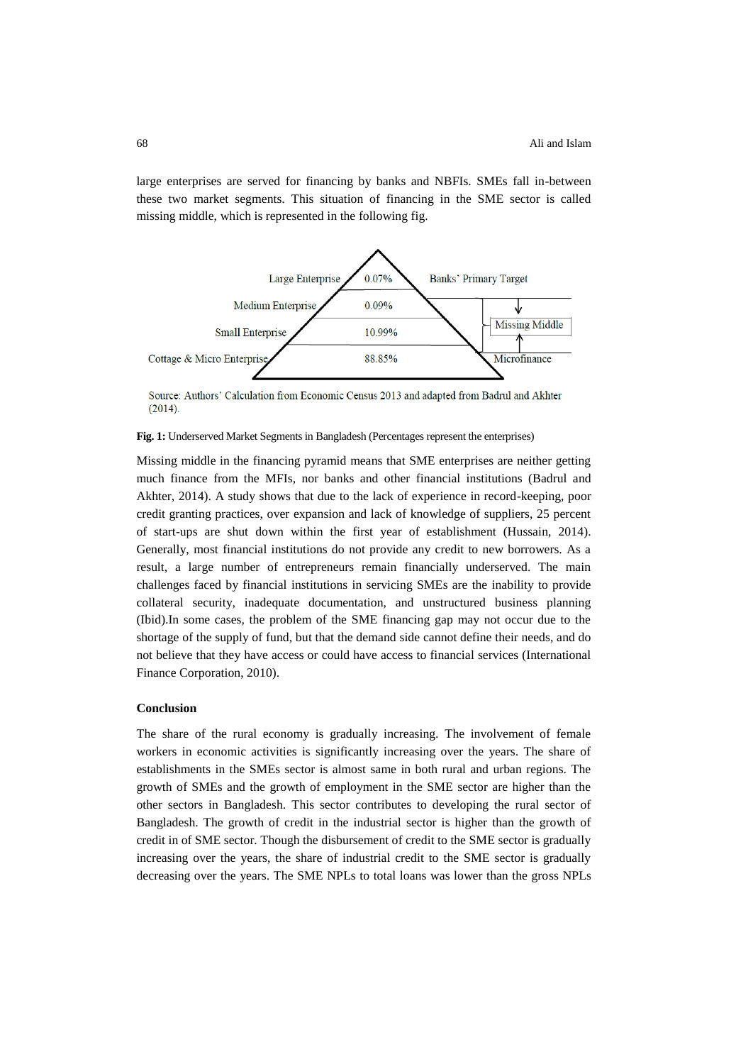large enterprises are served for financing by banks and NBFIs. SMEs fall in-between these two market segments. This situation of financing in the SME sector is called missing middle, which is represented in the following fig.



Source: Authors' Calculation from Economic Census 2013 and adapted from Badrul and Akhter  $(2014).$ 

### **Fig. 1:** Underserved Market Segments in Bangladesh (Percentages represent the enterprises)

Missing middle in the financing pyramid means that SME enterprises are neither getting much finance from the MFIs, nor banks and other financial institutions (Badrul and Akhter, 2014). A study shows that due to the lack of experience in record-keeping, poor credit granting practices, over expansion and lack of knowledge of suppliers, 25 percent of start-ups are shut down within the first year of establishment (Hussain, 2014). Generally, most financial institutions do not provide any credit to new borrowers. As a result, a large number of entrepreneurs remain financially underserved. The main challenges faced by financial institutions in servicing SMEs are the inability to provide collateral security, inadequate documentation, and unstructured business planning (Ibid).In some cases, the problem of the SME financing gap may not occur due to the shortage of the supply of fund, but that the demand side cannot define their needs, and do not believe that they have access or could have access to financial services (International Finance Corporation, 2010).

#### **Conclusion**

The share of the rural economy is gradually increasing. The involvement of female workers in economic activities is significantly increasing over the years. The share of establishments in the SMEs sector is almost same in both rural and urban regions. The growth of SMEs and the growth of employment in the SME sector are higher than the other sectors in Bangladesh. This sector contributes to developing the rural sector of Bangladesh. The growth of credit in the industrial sector is higher than the growth of credit in of SME sector. Though the disbursement of credit to the SME sector is gradually increasing over the years, the share of industrial credit to the SME sector is gradually decreasing over the years. The SME NPLs to total loans was lower than the gross NPLs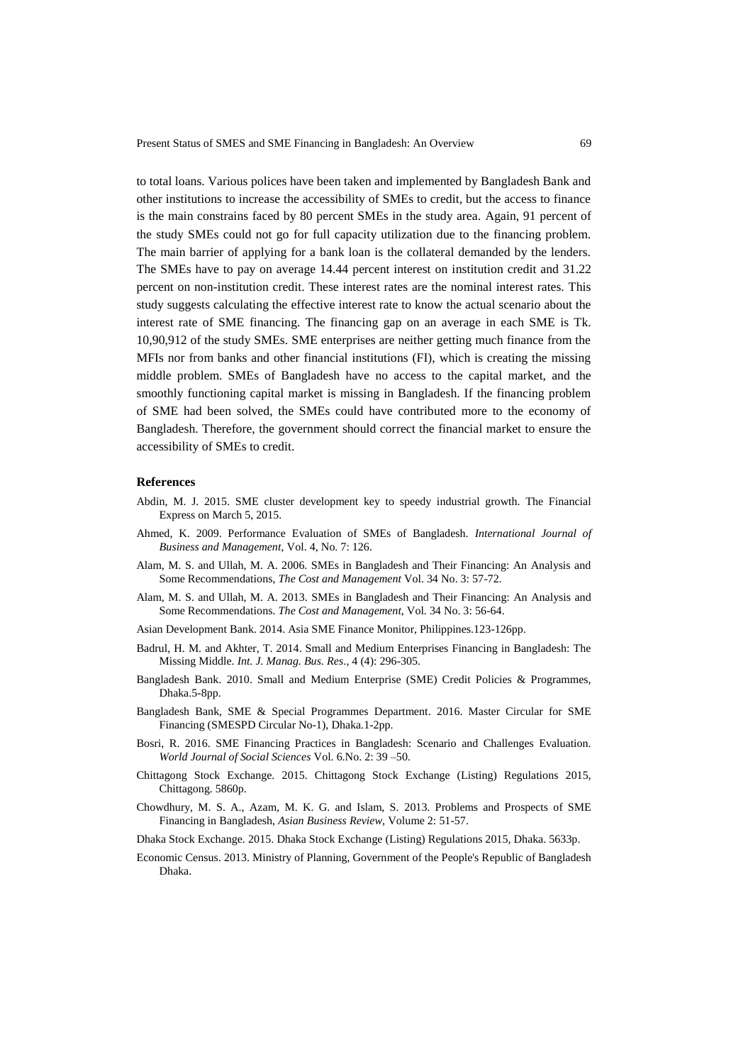to total loans. Various polices have been taken and implemented by Bangladesh Bank and other institutions to increase the accessibility of SMEs to credit, but the access to finance is the main constrains faced by 80 percent SMEs in the study area. Again, 91 percent of the study SMEs could not go for full capacity utilization due to the financing problem. The main barrier of applying for a bank loan is the collateral demanded by the lenders. The SMEs have to pay on average 14.44 percent interest on institution credit and 31.22 percent on non-institution credit. These interest rates are the nominal interest rates. This study suggests calculating the effective interest rate to know the actual scenario about the interest rate of SME financing. The financing gap on an average in each SME is Tk. 10,90,912 of the study SMEs. SME enterprises are neither getting much finance from the MFIs nor from banks and other financial institutions (FI), which is creating the missing middle problem. SMEs of Bangladesh have no access to the capital market, and the smoothly functioning capital market is missing in Bangladesh. If the financing problem of SME had been solved, the SMEs could have contributed more to the economy of Bangladesh. Therefore, the government should correct the financial market to ensure the accessibility of SMEs to credit.

#### **References**

- Abdin, M. J. 2015. SME cluster development key to speedy industrial growth. The Financial Express on March 5, 2015.
- Ahmed, K. 2009. Performance Evaluation of SMEs of Bangladesh*. International Journal of Business and Management,* Vol. 4, No. 7: 126.
- Alam, M. S. and Ullah, M. A. 2006. SMEs in Bangladesh and Their Financing: An Analysis and Some Recommendations, *The Cost and Management* Vol. 34 No. 3: 57-72.
- Alam, M. S. and Ullah, M. A. 2013. SMEs in Bangladesh and Their Financing: An Analysis and Some Recommendations. *The Cost and Management*, Vol. 34 No. 3: 56-64.
- Asian Development Bank. 2014. Asia SME Finance Monitor, Philippines.123-126pp.
- Badrul, H. M. and Akhter, T. 2014. Small and Medium Enterprises Financing in Bangladesh: The Missing Middle. *Int. J. Manag. Bus. Res*., 4 (4): 296-305.
- Bangladesh Bank. 2010. Small and Medium Enterprise (SME) Credit Policies & Programmes, Dhaka.5-8pp.
- Bangladesh Bank, SME & Special Programmes Department. 2016. Master Circular for SME Financing (SMESPD Circular No-1), Dhaka.1-2pp.
- Bosri, R. 2016. SME Financing Practices in Bangladesh: Scenario and Challenges Evaluation. *World Journal of Social Sciences* Vol. 6.No. 2: 39 –50.
- Chittagong Stock Exchange. 2015. Chittagong Stock Exchange (Listing) Regulations 2015, Chittagong. 5860p.
- Chowdhury, M. S. A., Azam, M. K. G. and Islam, S. 2013. Problems and Prospects of SME Financing in Bangladesh, *Asian Business Review*, Volume 2: 51-57.
- Dhaka Stock Exchange. 2015. Dhaka Stock Exchange (Listing) Regulations 2015, Dhaka. 5633p.
- Economic Census. 2013. Ministry of Planning, Government of the People's Republic of Bangladesh Dhaka.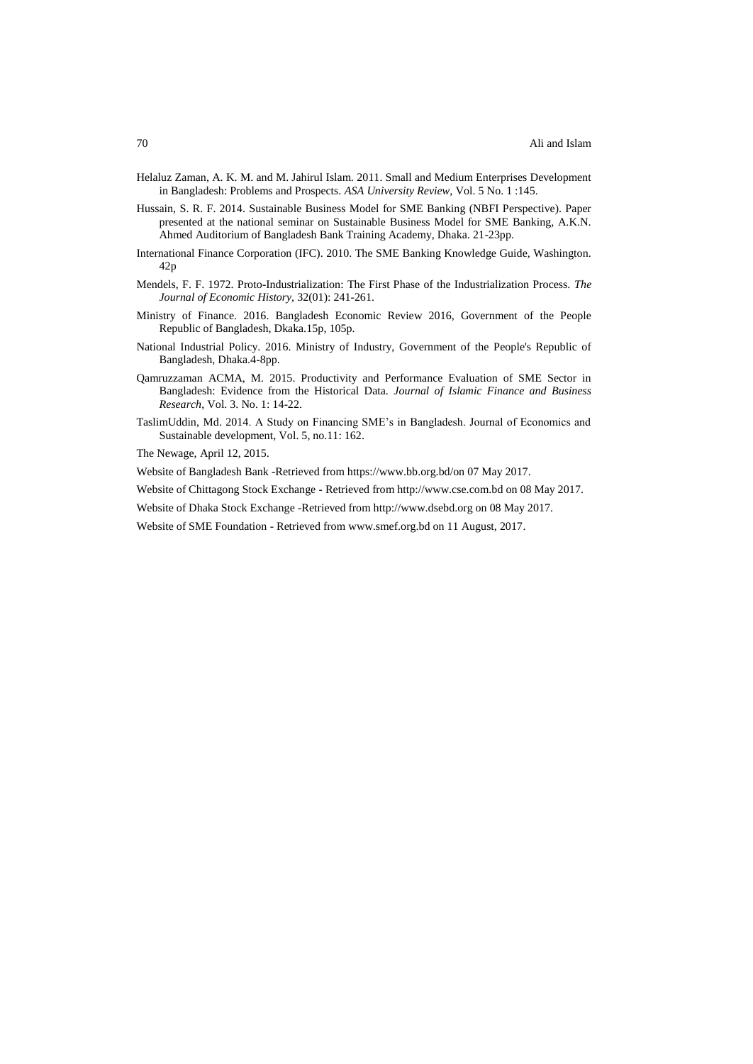- Helaluz Zaman, A. K. M. and M. Jahirul Islam. 2011. Small and Medium Enterprises Development in Bangladesh: Problems and Prospects. *ASA University Review*, Vol. 5 No. 1 :145.
- Hussain, S. R. F. 2014. Sustainable Business Model for SME Banking (NBFI Perspective). Paper presented at the national seminar on Sustainable Business Model for SME Banking, A.K.N. Ahmed Auditorium of Bangladesh Bank Training Academy, Dhaka. 21-23pp.
- International Finance Corporation (IFC). 2010. The SME Banking Knowledge Guide, Washington. 42p
- Mendels, F. F. 1972. Proto-Industrialization: The First Phase of the Industrialization Process. *The Journal of Economic History,* 32(01): 241-261.
- Ministry of Finance. 2016. Bangladesh Economic Review 2016, Government of the People Republic of Bangladesh, Dkaka.15p, 105p.
- National Industrial Policy. 2016. Ministry of Industry, Government of the People's Republic of Bangladesh, Dhaka.4-8pp.
- Qamruzzaman ACMA, M. 2015. Productivity and Performance Evaluation of SME Sector in Bangladesh: Evidence from the Historical Data. *Journal of Islamic Finance and Business Research*, Vol. 3. No. 1: 14-22.
- TaslimUddin, Md. 2014. A Study on Financing SME"s in Bangladesh. Journal of Economics and Sustainable development, Vol. 5, no.11: 162.

The Newage, April 12, 2015.

Website of Bangladesh Bank -Retrieved from https://www.bb.org.bd/on 07 May 2017.

Website of Chittagong Stock Exchange - Retrieved from http://www.cse.com.bd on 08 May 2017.

- Website of Dhaka Stock Exchange -Retrieved from http://www.dsebd.org on 08 May 2017.
- Website of SME Foundation Retrieved from www.smef.org.bd on 11 August, 2017.